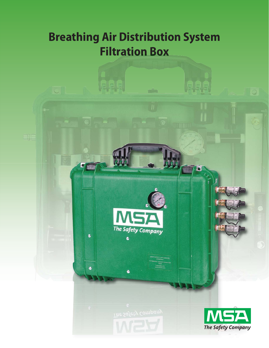# **Breathing Air Distribution System Filtration Box**

 $\overline{\mathbb{C}^2}$ 

UUU

٤

 $\bullet$ 

**Ioli** 

Elf



E SAFETY APPLIANCES

 $\bullet$ 



 $\sqrt{2}$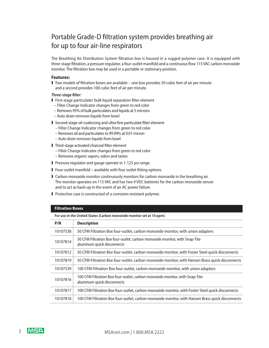# Portable Grade-D filtration system provides breathing air for up to four air-line respirators

The Breathing Air Distribution System filtration box is housed in a rugged polymer case. It is equipped with three-stage filtration, a pressure regulator, a four-outlet manifold and a continuous flow 115 VAC carbon monoxide monitor. The filtration box may be used in a portable or stationary position.

#### **Features:**

❱ Two models of filtration boxes are available – one box provides 50 cubic feet of air per minute and a second provides 100 cubic feet of air per minute.

- *Three-stage filter:* ❱ First-stage particulate/ bulk liquid separation filter element
- Filter Change Indicator changes from green to red color
- Removes 95% of bulk particulates and liquids at 5 microns
- Auto drain removes liquids from bowl
- ❱ Second-stage oil-coalescing and ultra-fine particulate filter element
	- Filter Change Indicator changes from green to red color
	- Removes oil and particulates to 99.99% at 0.01 micron
	- Auto drain removes liquids from bowl
- ❱ Third-stage activated charcoal filter element
	- Filter Change Indicator changes from green to red color
	- Removes organic vapors, odors and tastes
- ❱ Pressure regulator and gauge operate in 1-125 psi range.
- ▶ Four-outlet manifold available with four outlet fitting options.
- ❱ Carbon monoxide monitor continuously monitors for carbon monoxide in the breathing air. The monitor operates on 115 VAC and has two 9 VDC batteries for the carbon monoxide sensor and to act as back-up in the event of an AC power failure.
- ❱ Protective case is constructed of a corrosion-resistant polymer.

#### **Filtration Boxes**

**For use in the United States (Carbon monoxide monitor set at 10 ppm)**

| P/N      | <b>Description</b>                                                                                        |
|----------|-----------------------------------------------------------------------------------------------------------|
| 10107538 | 50 CFM Filtration Box four-outlet, carbon monoxide monitor, with union adapters                           |
| 10107814 | 50 CFM Filtration Box four-outlet, carbon monoxide monitor, with Snap-Tite<br>aluminum quick disconnects  |
| 10107812 | 50 CFM Filtration Box four-outlet, carbon monoxide monitor, with Foster Steel quick disconnects           |
| 10107819 | 50 CFM Filtration Box four-outlet, carbon monoxide monitor, with Hansen Brass quick disconnects           |
| 10107539 | 100 CFM Filtration Box four-outlet, carbon monoxide monitor, with union adapters                          |
| 10107816 | 100 CFM Filtration Box four-outlet, carbon monoxide monitor, with Snap-Tite<br>aluminum quick disconnects |
| 10107817 | 100 CFM Filtration Box four-outlet, carbon monoxide monitor, with Foster Steel quick disconnects          |
| 10107818 | 100 CFM Filtration Box four-outlet, carbon monoxide monitor, with Hansen Brass quick disconnects          |
|          |                                                                                                           |

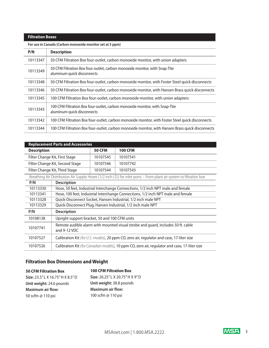### **Filtration Boxes**

**For use in Canada (Carbon monoxide monitor set at 5 ppm)**

| P/N      | <b>Description</b>                                                                                        |
|----------|-----------------------------------------------------------------------------------------------------------|
| 10113347 | 50 CFM Filtration Box four-outlet, carbon monoxide monitor, with union adapters                           |
| 10113349 | 50 CFM Filtration Box four-outlet, carbon monoxide monitor, with Snap-Tite<br>aluminum quick disconnects  |
| 10113348 | 50 CFM Filtration Box four-outlet, carbon monoxide monitor, with Foster Steel quick disconnects           |
| 10113346 | 50 CFM Filtration Box four-outlet, carbon monoxide monitor, with Hansen Brass quick disconnects           |
| 10113345 | 100 CFM Filtration Box four-outlet, carbon monoxide monitor, with union adapters                          |
| 10113343 | 100 CFM Filtration Box four-outlet, carbon monoxide monitor, with Snap-Tite<br>aluminum quick disconnects |
| 10113342 | 100 CFM Filtration Box four-outlet, carbon monoxide monitor, with Foster Steel quick disconnects          |
| 10113344 | 100 CFM Filtration Box four-outlet, carbon monoxide monitor, with Hansen Brass quick disconnects          |

| <b>Replacement Parts and Accessories</b>                                                                              |                                                                                  |                                                                                               |  |  |  |
|-----------------------------------------------------------------------------------------------------------------------|----------------------------------------------------------------------------------|-----------------------------------------------------------------------------------------------|--|--|--|
| <b>Description</b>                                                                                                    | <b>50 CFM</b>                                                                    | <b>100 CFM</b>                                                                                |  |  |  |
| Filter Change Kit, First Stage                                                                                        | 10107545                                                                         | 10107541                                                                                      |  |  |  |
| Filter Change Kit, Second Stage                                                                                       | 10107546                                                                         | 10107742                                                                                      |  |  |  |
| Filter Change Kit, Third Stage                                                                                        | 10107544                                                                         | 10107543                                                                                      |  |  |  |
| Breathing Air Distribution Air Supply Hoses (1/2 inch I.D.) for inlet ports – From plant air system to filtration box |                                                                                  |                                                                                               |  |  |  |
| <b>Description</b><br>P/N                                                                                             |                                                                                  |                                                                                               |  |  |  |
| 10113330                                                                                                              | Hose, 50 feet, Industrial Interchange Connections, 1/2 inch NPT male and female  |                                                                                               |  |  |  |
| 10113341                                                                                                              | Hose, 100 feet, Industrial Interchange Connections, 1/2 inch NPT male and female |                                                                                               |  |  |  |
| 10113328                                                                                                              | Quick-Disconnect Socket, Hansen Industrial, 1/2 inch male NPT                    |                                                                                               |  |  |  |
| 10113329                                                                                                              | Quick-Disconnect Plug, Hansen Industrial, 1/2 inch male NPT                      |                                                                                               |  |  |  |
| <b>Description</b><br>P/N                                                                                             |                                                                                  |                                                                                               |  |  |  |
| 10108138<br>Upright support bracket, 50 and 100 CFM units                                                             |                                                                                  |                                                                                               |  |  |  |
| 10107741<br>and 9-12 VDC                                                                                              | Remote audible alarm with mounted visual strobe and guard, includes 50 ft. cable |                                                                                               |  |  |  |
| 10107527                                                                                                              |                                                                                  | Calibration Kit (for U.S. models), 20 ppm CO, zero air, regulator and case, 17-liter size     |  |  |  |
| 10107526                                                                                                              |                                                                                  | Calibration Kit (for Canadian models), 10 ppm CO, zero air, regulator and case, 17-liter size |  |  |  |

## **Filtration Box Dimensions and Weight**

| <b>50 CFM Filtration Box</b>      | <b>100 CFM Filtration Box</b>    |
|-----------------------------------|----------------------------------|
| Size: 23.5" L X 16.75" H X 8.5" D | Size: 26.25" L X 20.75" H X 9" D |
| Unit weight: 24.6 pounds          | Unit weight: 38.8 pounds         |
| <b>Maximum air flow:</b>          | <b>Maximum air flow:</b>         |
| 50 scfm @ 110 psi                 | 100 scfm @ 110 psi               |